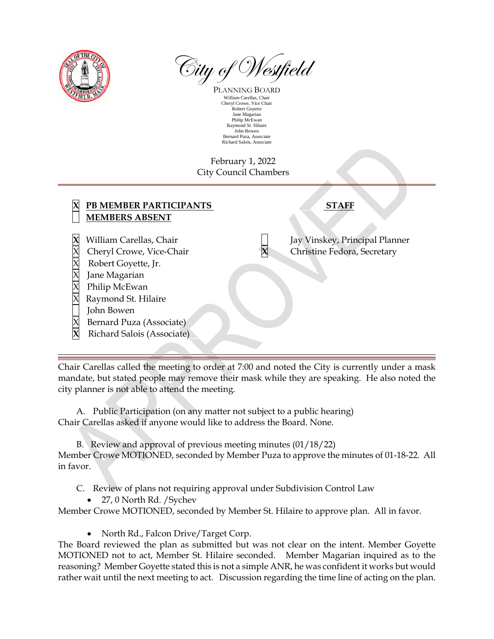

 $\widehat{\otimes}$ ity of Westfield

PLANNING BOARD William Carellas, Chair Cheryl Crowe, Vice Chair Robert Goyette Jane Magarian Philip McEwan Raymond St. Hilaire John Bowen Bernard Puza, Associate Richard Salois, Associate

## February 1, 2022 City Council Chambers

| PB MEMBER PARTICIPANTS<br><b>MEMBERS ABSENT</b>                                                                                                                                                             | <b>STAFF</b>                                                  |
|-------------------------------------------------------------------------------------------------------------------------------------------------------------------------------------------------------------|---------------------------------------------------------------|
| William Carellas, Chair<br>Cheryl Crowe, Vice-Chair<br>Robert Goyette, Jr.<br>Jane Magarian<br>Philip McEwan<br>Raymond St. Hilaire<br>John Bowen<br>Bernard Puza (Associate)<br>Richard Salois (Associate) | Jay Vinskey, Principal Planner<br>Christine Fedora, Secretary |

Chair Carellas called the meeting to order at 7:00 and noted the City is currently under a mask mandate, but stated people may remove their mask while they are speaking. He also noted the city planner is not able to attend the meeting.

A. Public Participation (on any matter not subject to a public hearing) Chair Carellas asked if anyone would like to address the Board. None.

B. Review and approval of previous meeting minutes (01/18/22) Member Crowe MOTIONED, seconded by Member Puza to approve the minutes of 01-18-22. All in favor.

C. Review of plans not requiring approval under Subdivision Control Law

• 27, 0 North Rd. / Sychev

Member Crowe MOTIONED, seconded by Member St. Hilaire to approve plan. All in favor.

• North Rd., Falcon Drive/Target Corp.

The Board reviewed the plan as submitted but was not clear on the intent. Member Goyette MOTIONED not to act, Member St. Hilaire seconded. Member Magarian inquired as to the reasoning? Member Goyette stated this is not a simple ANR, he was confident it works but would rather wait until the next meeting to act. Discussion regarding the time line of acting on the plan.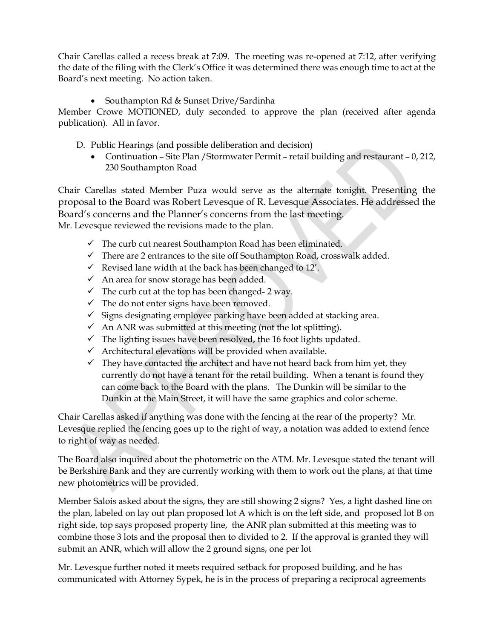Chair Carellas called a recess break at 7:09. The meeting was re-opened at 7:12, after verifying the date of the filing with the Clerk's Office it was determined there was enough time to act at the Board's next meeting. No action taken.

• Southampton Rd & Sunset Drive/Sardinha

Member Crowe MOTIONED, duly seconded to approve the plan (received after agenda publication). All in favor.

- D. Public Hearings (and possible deliberation and decision)
	- Continuation Site Plan /Stormwater Permit retail building and restaurant 0, 212, 230 Southampton Road

Chair Carellas stated Member Puza would serve as the alternate tonight. Presenting the proposal to the Board was Robert Levesque of R. Levesque Associates. He addressed the Board's concerns and the Planner's concerns from the last meeting. Mr. Levesque reviewed the revisions made to the plan.

- $\checkmark$  The curb cut nearest Southampton Road has been eliminated.
- $\checkmark$  There are 2 entrances to the site off Southampton Road, crosswalk added.
- $\checkmark$  Revised lane width at the back has been changed to 12'.
- $\checkmark$  An area for snow storage has been added.
- $\checkmark$  The curb cut at the top has been changed- 2 way.
- $\checkmark$  The do not enter signs have been removed.
- $\checkmark$  Signs designating employee parking have been added at stacking area.
- $\checkmark$  An ANR was submitted at this meeting (not the lot splitting).
- $\checkmark$  The lighting issues have been resolved, the 16 foot lights updated.
- $\checkmark$  Architectural elevations will be provided when available.
- $\checkmark$  They have contacted the architect and have not heard back from him yet, they currently do not have a tenant for the retail building. When a tenant is found they can come back to the Board with the plans. The Dunkin will be similar to the Dunkin at the Main Street, it will have the same graphics and color scheme.

Chair Carellas asked if anything was done with the fencing at the rear of the property? Mr. Levesque replied the fencing goes up to the right of way, a notation was added to extend fence to right of way as needed.

The Board also inquired about the photometric on the ATM. Mr. Levesque stated the tenant will be Berkshire Bank and they are currently working with them to work out the plans, at that time new photometrics will be provided.

Member Salois asked about the signs, they are still showing 2 signs? Yes, a light dashed line on the plan, labeled on lay out plan proposed lot A which is on the left side, and proposed lot B on right side, top says proposed property line, the ANR plan submitted at this meeting was to combine those 3 lots and the proposal then to divided to 2. If the approval is granted they will submit an ANR, which will allow the 2 ground signs, one per lot

Mr. Levesque further noted it meets required setback for proposed building, and he has communicated with Attorney Sypek, he is in the process of preparing a reciprocal agreements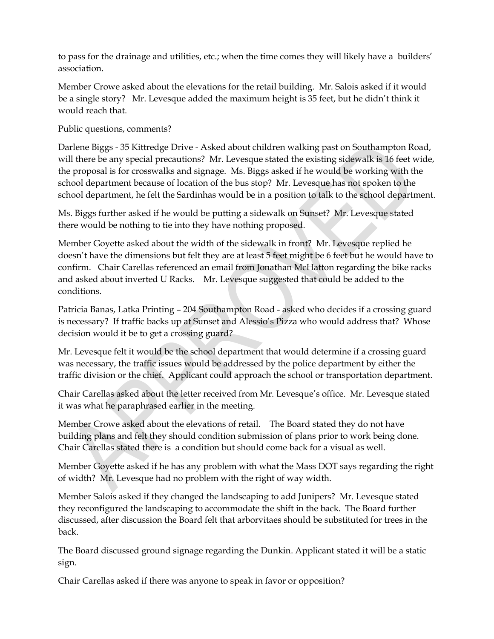to pass for the drainage and utilities, etc.; when the time comes they will likely have a builders' association.

Member Crowe asked about the elevations for the retail building. Mr. Salois asked if it would be a single story? Mr. Levesque added the maximum height is 35 feet, but he didn't think it would reach that.

Public questions, comments?

Darlene Biggs - 35 Kittredge Drive - Asked about children walking past on Southampton Road, will there be any special precautions? Mr. Levesque stated the existing sidewalk is 16 feet wide, the proposal is for crosswalks and signage. Ms. Biggs asked if he would be working with the school department because of location of the bus stop? Mr. Levesque has not spoken to the school department, he felt the Sardinhas would be in a position to talk to the school department.

Ms. Biggs further asked if he would be putting a sidewalk on Sunset? Mr. Levesque stated there would be nothing to tie into they have nothing proposed.

Member Goyette asked about the width of the sidewalk in front? Mr. Levesque replied he doesn't have the dimensions but felt they are at least 5 feet might be 6 feet but he would have to confirm. Chair Carellas referenced an email from Jonathan McHatton regarding the bike racks and asked about inverted U Racks. Mr. Levesque suggested that could be added to the conditions.

Patricia Banas, Latka Printing – 204 Southampton Road - asked who decides if a crossing guard is necessary? If traffic backs up at Sunset and Alessio's Pizza who would address that? Whose decision would it be to get a crossing guard?

Mr. Levesque felt it would be the school department that would determine if a crossing guard was necessary, the traffic issues would be addressed by the police department by either the traffic division or the chief. Applicant could approach the school or transportation department.

Chair Carellas asked about the letter received from Mr. Levesque's office. Mr. Levesque stated it was what he paraphrased earlier in the meeting.

Member Crowe asked about the elevations of retail. The Board stated they do not have building plans and felt they should condition submission of plans prior to work being done. Chair Carellas stated there is a condition but should come back for a visual as well.

Member Goyette asked if he has any problem with what the Mass DOT says regarding the right of width? Mr. Levesque had no problem with the right of way width.

Member Salois asked if they changed the landscaping to add Junipers? Mr. Levesque stated they reconfigured the landscaping to accommodate the shift in the back. The Board further discussed, after discussion the Board felt that arborvitaes should be substituted for trees in the back.

The Board discussed ground signage regarding the Dunkin. Applicant stated it will be a static sign.

Chair Carellas asked if there was anyone to speak in favor or opposition?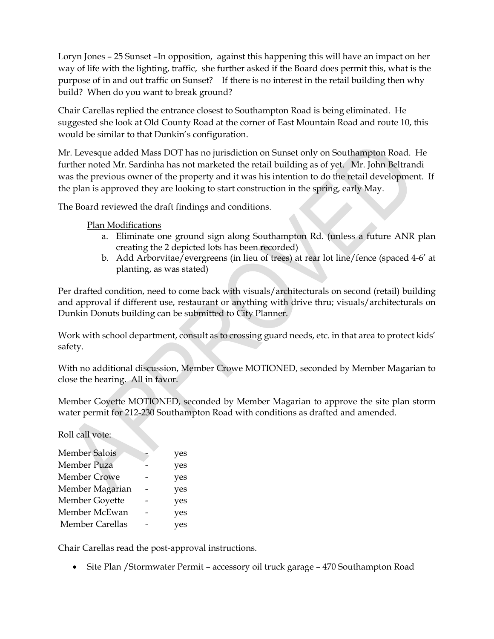Loryn Jones – 25 Sunset –In opposition, against this happening this will have an impact on her way of life with the lighting, traffic, she further asked if the Board does permit this, what is the purpose of in and out traffic on Sunset? If there is no interest in the retail building then why build? When do you want to break ground?

Chair Carellas replied the entrance closest to Southampton Road is being eliminated. He suggested she look at Old County Road at the corner of East Mountain Road and route 10, this would be similar to that Dunkin's configuration.

Mr. Levesque added Mass DOT has no jurisdiction on Sunset only on Southampton Road. He further noted Mr. Sardinha has not marketed the retail building as of yet. Mr. John Beltrandi was the previous owner of the property and it was his intention to do the retail development. If the plan is approved they are looking to start construction in the spring, early May.

The Board reviewed the draft findings and conditions.

Plan Modifications

- a. Eliminate one ground sign along Southampton Rd. (unless a future ANR plan creating the 2 depicted lots has been recorded)
- b. Add Arborvitae/evergreens (in lieu of trees) at rear lot line/fence (spaced 4-6' at planting, as was stated)

Per drafted condition, need to come back with visuals/architecturals on second (retail) building and approval if different use, restaurant or anything with drive thru; visuals/architecturals on Dunkin Donuts building can be submitted to City Planner.

Work with school department, consult as to crossing guard needs, etc. in that area to protect kids' safety.

With no additional discussion, Member Crowe MOTIONED, seconded by Member Magarian to close the hearing. All in favor.

Member Goyette MOTIONED, seconded by Member Magarian to approve the site plan storm water permit for 212-230 Southampton Road with conditions as drafted and amended.

Roll call vote:

| <b>Member Salois</b>   | yes |
|------------------------|-----|
| Member Puza            | yes |
| <b>Member Crowe</b>    | yes |
| Member Magarian        | yes |
| Member Goyette         | yes |
| Member McEwan          | yes |
| <b>Member Carellas</b> | es/ |
|                        |     |

Chair Carellas read the post-approval instructions.

• Site Plan / Stormwater Permit – accessory oil truck garage – 470 Southampton Road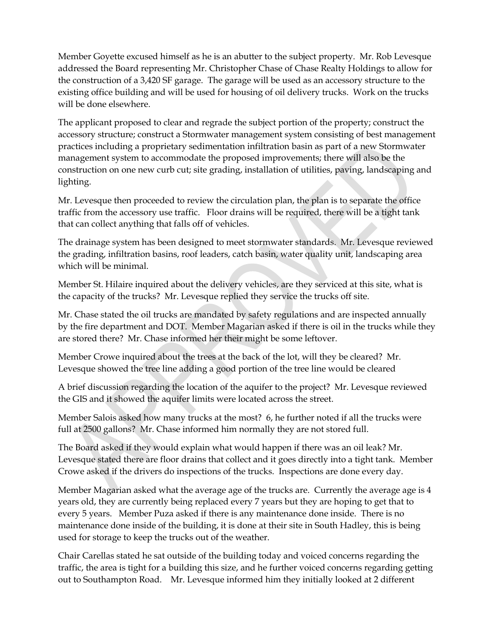Member Goyette excused himself as he is an abutter to the subject property. Mr. Rob Levesque addressed the Board representing Mr. Christopher Chase of Chase Realty Holdings to allow for the construction of a 3,420 SF garage. The garage will be used as an accessory structure to the existing office building and will be used for housing of oil delivery trucks. Work on the trucks will be done elsewhere.

The applicant proposed to clear and regrade the subject portion of the property; construct the accessory structure; construct a Stormwater management system consisting of best management practices including a proprietary sedimentation infiltration basin as part of a new Stormwater management system to accommodate the proposed improvements; there will also be the construction on one new curb cut; site grading, installation of utilities, paving, landscaping and lighting.

Mr. Levesque then proceeded to review the circulation plan, the plan is to separate the office traffic from the accessory use traffic. Floor drains will be required, there will be a tight tank that can collect anything that falls off of vehicles.

The drainage system has been designed to meet stormwater standards. Mr. Levesque reviewed the grading, infiltration basins, roof leaders, catch basin, water quality unit, landscaping area which will be minimal.

Member St. Hilaire inquired about the delivery vehicles, are they serviced at this site, what is the capacity of the trucks? Mr. Levesque replied they service the trucks off site.

Mr. Chase stated the oil trucks are mandated by safety regulations and are inspected annually by the fire department and DOT. Member Magarian asked if there is oil in the trucks while they are stored there? Mr. Chase informed her their might be some leftover.

Member Crowe inquired about the trees at the back of the lot, will they be cleared? Mr. Levesque showed the tree line adding a good portion of the tree line would be cleared

A brief discussion regarding the location of the aquifer to the project? Mr. Levesque reviewed the GIS and it showed the aquifer limits were located across the street.

Member Salois asked how many trucks at the most? 6, he further noted if all the trucks were full at 2500 gallons? Mr. Chase informed him normally they are not stored full.

The Board asked if they would explain what would happen if there was an oil leak? Mr. Levesque stated there are floor drains that collect and it goes directly into a tight tank. Member Crowe asked if the drivers do inspections of the trucks. Inspections are done every day.

Member Magarian asked what the average age of the trucks are. Currently the average age is 4 years old, they are currently being replaced every 7 years but they are hoping to get that to every 5 years. Member Puza asked if there is any maintenance done inside. There is no maintenance done inside of the building, it is done at their site in South Hadley, this is being used for storage to keep the trucks out of the weather.

Chair Carellas stated he sat outside of the building today and voiced concerns regarding the traffic, the area is tight for a building this size, and he further voiced concerns regarding getting out to Southampton Road. Mr. Levesque informed him they initially looked at 2 different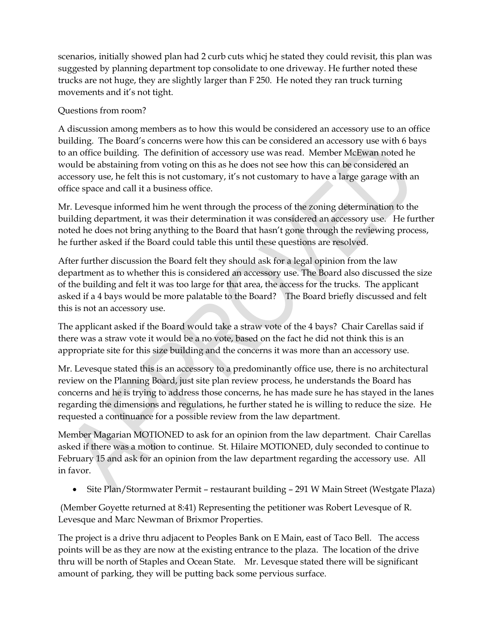scenarios, initially showed plan had 2 curb cuts whicj he stated they could revisit, this plan was suggested by planning department top consolidate to one driveway. He further noted these trucks are not huge, they are slightly larger than F 250. He noted they ran truck turning movements and it's not tight.

## Questions from room?

A discussion among members as to how this would be considered an accessory use to an office building. The Board's concerns were how this can be considered an accessory use with 6 bays to an office building. The definition of accessory use was read. Member McEwan noted he would be abstaining from voting on this as he does not see how this can be considered an accessory use, he felt this is not customary, it's not customary to have a large garage with an office space and call it a business office.

Mr. Levesque informed him he went through the process of the zoning determination to the building department, it was their determination it was considered an accessory use. He further noted he does not bring anything to the Board that hasn't gone through the reviewing process, he further asked if the Board could table this until these questions are resolved.

After further discussion the Board felt they should ask for a legal opinion from the law department as to whether this is considered an accessory use. The Board also discussed the size of the building and felt it was too large for that area, the access for the trucks. The applicant asked if a 4 bays would be more palatable to the Board? The Board briefly discussed and felt this is not an accessory use.

The applicant asked if the Board would take a straw vote of the 4 bays? Chair Carellas said if there was a straw vote it would be a no vote, based on the fact he did not think this is an appropriate site for this size building and the concerns it was more than an accessory use.

Mr. Levesque stated this is an accessory to a predominantly office use, there is no architectural review on the Planning Board, just site plan review process, he understands the Board has concerns and he is trying to address those concerns, he has made sure he has stayed in the lanes regarding the dimensions and regulations, he further stated he is willing to reduce the size. He requested a continuance for a possible review from the law department.

Member Magarian MOTIONED to ask for an opinion from the law department. Chair Carellas asked if there was a motion to continue. St. Hilaire MOTIONED, duly seconded to continue to February 15 and ask for an opinion from the law department regarding the accessory use. All in favor.

• Site Plan/Stormwater Permit – restaurant building – 291 W Main Street (Westgate Plaza)

 (Member Goyette returned at 8:41) Representing the petitioner was Robert Levesque of R. Levesque and Marc Newman of Brixmor Properties.

The project is a drive thru adjacent to Peoples Bank on E Main, east of Taco Bell. The access points will be as they are now at the existing entrance to the plaza. The location of the drive thru will be north of Staples and Ocean State. Mr. Levesque stated there will be significant amount of parking, they will be putting back some pervious surface.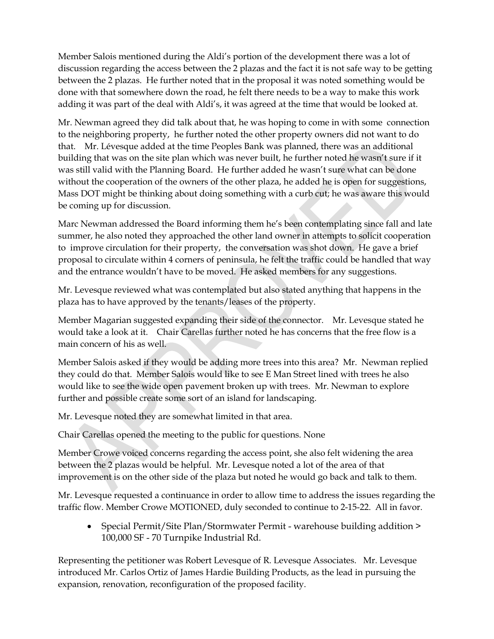Member Salois mentioned during the Aldi's portion of the development there was a lot of discussion regarding the access between the 2 plazas and the fact it is not safe way to be getting between the 2 plazas. He further noted that in the proposal it was noted something would be done with that somewhere down the road, he felt there needs to be a way to make this work adding it was part of the deal with Aldi's, it was agreed at the time that would be looked at.

Mr. Newman agreed they did talk about that, he was hoping to come in with some connection to the neighboring property, he further noted the other property owners did not want to do that. Mr. Lévesque added at the time Peoples Bank was planned, there was an additional building that was on the site plan which was never built, he further noted he wasn't sure if it was still valid with the Planning Board. He further added he wasn't sure what can be done without the cooperation of the owners of the other plaza, he added he is open for suggestions, Mass DOT might be thinking about doing something with a curb cut; he was aware this would be coming up for discussion.

Marc Newman addressed the Board informing them he's been contemplating since fall and late summer, he also noted they approached the other land owner in attempts to solicit cooperation to improve circulation for their property, the conversation was shot down. He gave a brief proposal to circulate within 4 corners of peninsula, he felt the traffic could be handled that way and the entrance wouldn't have to be moved. He asked members for any suggestions.

Mr. Levesque reviewed what was contemplated but also stated anything that happens in the plaza has to have approved by the tenants/leases of the property.

Member Magarian suggested expanding their side of the connector. Mr. Levesque stated he would take a look at it. Chair Carellas further noted he has concerns that the free flow is a main concern of his as well

Member Salois asked if they would be adding more trees into this area? Mr. Newman replied they could do that. Member Salois would like to see E Man Street lined with trees he also would like to see the wide open pavement broken up with trees. Mr. Newman to explore further and possible create some sort of an island for landscaping.

Mr. Levesque noted they are somewhat limited in that area.

Chair Carellas opened the meeting to the public for questions. None

Member Crowe voiced concerns regarding the access point, she also felt widening the area between the 2 plazas would be helpful. Mr. Levesque noted a lot of the area of that improvement is on the other side of the plaza but noted he would go back and talk to them.

Mr. Levesque requested a continuance in order to allow time to address the issues regarding the traffic flow. Member Crowe MOTIONED, duly seconded to continue to 2-15-22. All in favor.

• Special Permit/Site Plan/Stormwater Permit - warehouse building addition > 100,000 SF - 70 Turnpike Industrial Rd.

Representing the petitioner was Robert Levesque of R. Levesque Associates. Mr. Levesque introduced Mr. Carlos Ortiz of James Hardie Building Products, as the lead in pursuing the expansion, renovation, reconfiguration of the proposed facility.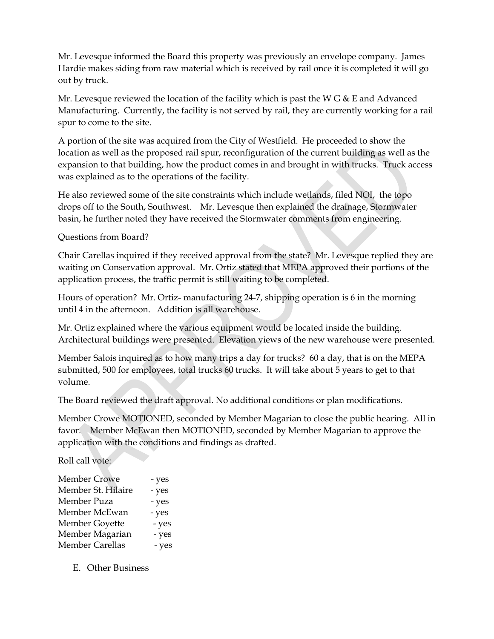Mr. Levesque informed the Board this property was previously an envelope company. James Hardie makes siding from raw material which is received by rail once it is completed it will go out by truck.

Mr. Levesque reviewed the location of the facility which is past the W  $G \& E$  and Advanced Manufacturing. Currently, the facility is not served by rail, they are currently working for a rail spur to come to the site.

A portion of the site was acquired from the City of Westfield. He proceeded to show the location as well as the proposed rail spur, reconfiguration of the current building as well as the expansion to that building, how the product comes in and brought in with trucks. Truck access was explained as to the operations of the facility.

He also reviewed some of the site constraints which include wetlands, filed NOI, the topo drops off to the South, Southwest. Mr. Levesque then explained the drainage, Stormwater basin, he further noted they have received the Stormwater comments from engineering.

Questions from Board?

Chair Carellas inquired if they received approval from the state? Mr. Levesque replied they are waiting on Conservation approval. Mr. Ortiz stated that MEPA approved their portions of the application process, the traffic permit is still waiting to be completed.

Hours of operation? Mr. Ortiz- manufacturing 24-7, shipping operation is 6 in the morning until 4 in the afternoon. Addition is all warehouse.

Mr. Ortiz explained where the various equipment would be located inside the building. Architectural buildings were presented. Elevation views of the new warehouse were presented.

Member Salois inquired as to how many trips a day for trucks? 60 a day, that is on the MEPA submitted, 500 for employees, total trucks 60 trucks. It will take about 5 years to get to that volume.

The Board reviewed the draft approval. No additional conditions or plan modifications.

Member Crowe MOTIONED, seconded by Member Magarian to close the public hearing. All in favor. Member McEwan then MOTIONED, seconded by Member Magarian to approve the application with the conditions and findings as drafted.

Roll call vote:

| <b>Member Crowe</b>    | - yes |
|------------------------|-------|
| Member St. Hilaire     | - yes |
| Member Puza            | - yes |
| Member McEwan          | - yes |
| Member Goyette         | - yes |
| Member Magarian        | - yes |
| <b>Member Carellas</b> | - yes |
|                        |       |

E. Other Business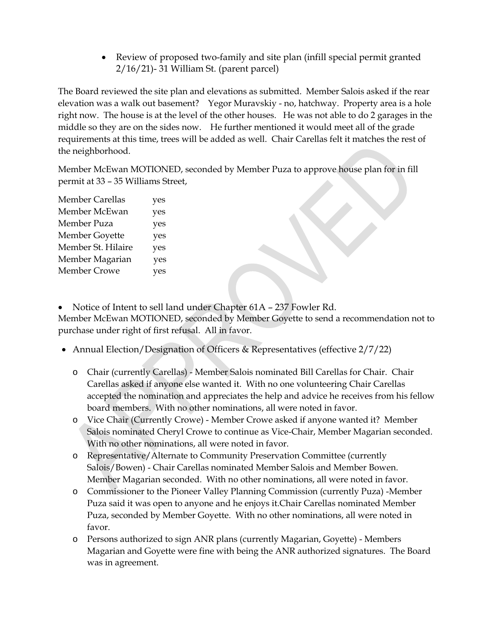Review of proposed two-family and site plan (infill special permit granted 2/16/21)- 31 William St. (parent parcel)

The Board reviewed the site plan and elevations as submitted. Member Salois asked if the rear elevation was a walk out basement? Yegor Muravskiy - no, hatchway. Property area is a hole right now. The house is at the level of the other houses. He was not able to do 2 garages in the middle so they are on the sides now. He further mentioned it would meet all of the grade requirements at this time, trees will be added as well. Chair Carellas felt it matches the rest of the neighborhood.

Member McEwan MOTIONED, seconded by Member Puza to approve house plan for in fill permit at 33 – 35 Williams Street,

| <b>Member Carellas</b> | yes |
|------------------------|-----|
| Member McEwan          | yes |
| Member Puza            | yes |
| Member Goyette         | yes |
| Member St. Hilaire     | yes |
| Member Magarian        | yes |
| <b>Member Crowe</b>    | yes |

• Notice of Intent to sell land under Chapter 61A - 237 Fowler Rd.

Member McEwan MOTIONED, seconded by Member Goyette to send a recommendation not to purchase under right of first refusal. All in favor.

- Annual Election/Designation of Officers & Representatives (effective 2/7/22)
	- o Chair (currently Carellas) Member Salois nominated Bill Carellas for Chair. Chair Carellas asked if anyone else wanted it. With no one volunteering Chair Carellas accepted the nomination and appreciates the help and advice he receives from his fellow board members. With no other nominations, all were noted in favor.
	- o Vice Chair (Currently Crowe) Member Crowe asked if anyone wanted it? Member Salois nominated Cheryl Crowe to continue as Vice-Chair, Member Magarian seconded. With no other nominations, all were noted in favor.
	- o Representative/Alternate to Community Preservation Committee (currently Salois/Bowen) - Chair Carellas nominated Member Salois and Member Bowen. Member Magarian seconded. With no other nominations, all were noted in favor.
	- o Commissioner to the Pioneer Valley Planning Commission (currently Puza) -Member Puza said it was open to anyone and he enjoys it.Chair Carellas nominated Member Puza, seconded by Member Goyette. With no other nominations, all were noted in favor.
	- o Persons authorized to sign ANR plans (currently Magarian, Goyette) Members Magarian and Goyette were fine with being the ANR authorized signatures. The Board was in agreement.